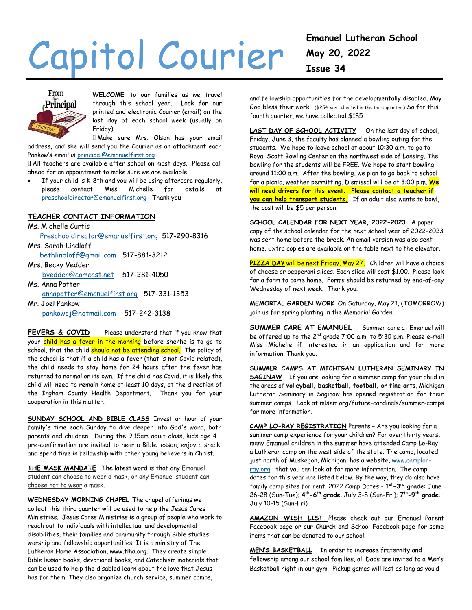# Capitol Courier



**WELCOME** to our families as we travel through this school year. Look for our printed and electronic Courier (email) on the last day of each school week (usually on Friday).

Make sure Mrs. Olson has your email address, and she will send you the Courier as an attachment each Pankow's email is [principal@emanuelfirst.org.](mailto:principal@emanuelfirst.org)

All teachers are available after school on most days. Please call ahead for an appointment to make sure we are available.

 If your child is K-8th and you will be using aftercare regularly, please contact Miss Michelle for details [preschooldirector@emanuelfirst.org](mailto:preschooldirector@emanuelfirst.org) Thank you

# **TEACHER CONTACT INFORMATION**

Ms. Michelle Curtis [Preschooldirector@emanuelfirst.org](mailto:Preschooldirector@emanuelfirst.org) 517-290-8316 Mrs. Sarah Lindloff [bethlindloff@gmail.com](mailto:bethlindloff@gmail.com) 517-881-3212 Mrs. Becky Vedder [bvedder@comcast.net](mailto:bvedder@comcast.net) 517-281-4050 Ms. Anna Potter

 [annapotter@emanuelfirst.org](mailto:annapotter@emanuelfirst.org) 517-331-1353 Mr. Joel Pankow

[pankowcj@hotmail.com](mailto:pankowcj@hotmail.com) 517-242-3138

FEVERS & COVID Please understand that if you know that your child has a fever in the morning before she/he is to go to school, that the child should not be attending school. The policy of the school is that if a child has a fever (that is not Covid related), the child needs to stay home for 24 hours after the fever has returned to normal on its own. If the child has Covid, it is likely the child will need to remain home at least 10 days, at the direction of the Ingham County Health Department. Thank you for your cooperation in this matter.

**SUNDAY SCHOOL AND BIBLE CLASS** Invest an hour of your family's time each Sunday to dive deeper into God's word, both parents and children. During the 9:15am adult class, kids age 4 – pre-confirmation are invited to hear a Bible lesson, enjoy a snack, and spend time in fellowship with other young believers in Christ.

**THE MASK MANDATE** The latest word is that any Emanuel student can choose to wear a mask, or any Emanuel student can choose not to wear a mask.

**WEDNESDAY MORNING CHAPEL** The chapel offerings we collect this third quarter will be used to help the Jesus Cares Ministries. Jesus Cares Ministries is a group of people who work to reach out to individuals with intellectual and developmental disabilities, their families and community through Bible studies, worship and fellowship opportunities. It is a ministry of The Lutheran Home Association[, www.tlha.org.](http://www.tlha.org/) They create simple Bible lesson books, devotional books, and Catechism materials that can be used to help the disabled learn about the love that Jesus has for them. They also organize church service, summer camps,

and fellowship opportunities for the developmentally disabled. May God bless their work. (\$254 was collected in the third quarter.) So far this fourth quarter, we have collected \$185.

LAST DAY OF SCHOOL ACTIVITY On the last day of school, Friday, June 3, the faculty has planned a bowling outing for the students. We hope to leave school at about 10:30 a.m. to go to Royal Scott Bowling Center on the northwest side of Lansing. The bowling for the students will be FREE. We hope to start bowling around 11:00 a.m. After the bowling, we plan to go back to school for a picnic, weather permitting. Dismissal will be at 3:00 p.m. **We will need drivers for this event. Please contact a teacher if you can help transport students.** If an adult also wants to bowl, the cost will be \$5 per person.

**SCHOOL CALENDAR FOR NEXT YEAR, 2022-2023** A paper copy of the school calendar for the next school year of 2022-2023 was sent home before the break. An email version was also sent home. Extra copies are available on the table next to the elevator.

**PIZZA DAY** will be next Friday, May 27. Children will have a choice of cheese or pepperoni slices. Each slice will cost \$1.00. Please look for a form to come home. Forms should be returned by end-of-day Wednesday of next week. Thank you.

**MEMORIAL GARDEN WORK** On Saturday, May 21, (TOMORROW) join us for spring planting in the Memorial Garden.

**SUMMER CARE AT EMANUEL** Summer care at Emanuel will be offered up to the 2nd grade 7:00 a.m. to 5:30 p.m. Please e-mail Miss Michelle if interested in an application and for more information. Thank you.

**SUMMER CAMPS AT MICHIGAN LUTHERAN SEMINARY IN SAGINAW** If you are looking for a summer camp for your child in the areas of **volleyball, basketball, football, or fine arts**, Michigan Lutheran Seminary in Saginaw has opened registration for their summer camps. Look at mlsem.org/future-cardinals/summer-camps for more information.

**CAMP LO-RAY REGISTRATION** Parents – Are you looking for a summer camp experience for your children? For over thirty years, many Emanuel children in the summer have attended Camp Lo-Ray, a Lutheran camp on the west side of the state. The camp, located just north of Muskegon, Michigan, has a website[, www.camplor](http://www.camplor-ray.org/)[ray.org](http://www.camplor-ray.org/), that you can look at for more information. The camp dates for this year are listed below. By the way, they do also have family camp sites for rent. 2022 Camp Dates - **1 st-3 rd grade**: June 26-28 (Sun-Tue); **4 th-6 th grade**: July 3-8 (Sun-Fri); **7 th-9 th grade**: July 10-15 (Sun-Fri)

**AMAZON WISH LIST** Please check out our Emanuel Parent Facebook page or our Church and School Facebook page for some items that can be donated to our school.

**MEN'S BASKETBALL** In order to increase fraternity and fellowship among our school families, all Dads are invited to a Men's Basketball night in our gym. Pickup games will last as long as you'd